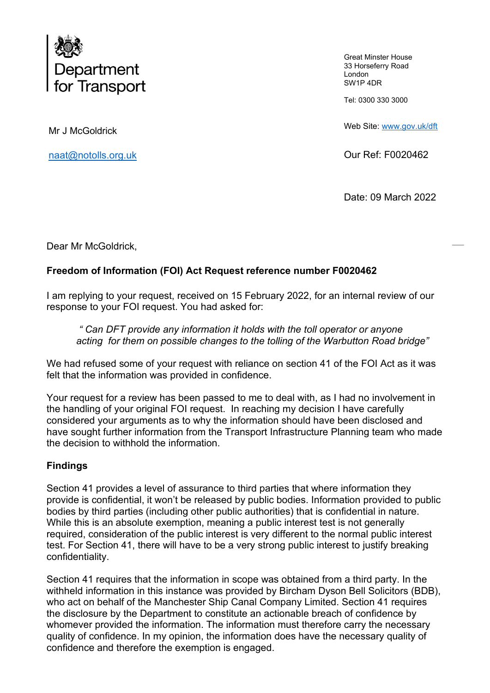

Great Minster House 33 Horseferry Road London SW1P 4DR

Tel: 0300 330 3000

Web Site: [www.gov.uk/dft](http://www.gov.uk/dft) 

Our Ref: F0020462

Date: 09 March 2022

Mr J McGoldrick

[naat@notolls.org.uk](mailto:naat@notolls.org.uk) 

Dear Mr McGoldrick,

## **Freedom of Information (FOI) Act Request reference number F0020462**

I am replying to your request, received on 15 February 2022, for an internal review of our response to your FOI request. You had asked for:

*" Can DFT provide any information it holds with the toll operator or anyone acting for them on possible changes to the tolling of the Warbutton Road bridge"* 

We had refused some of your request with reliance on section 41 of the FOI Act as it was felt that the information was provided in confidence.

Your request for a review has been passed to me to deal with, as I had no involvement in the handling of your original FOI request. In reaching my decision I have carefully considered your arguments as to why the information should have been disclosed and have sought further information from the Transport Infrastructure Planning team who made the decision to withhold the information.

## **Findings**

Section 41 provides a level of assurance to third parties that where information they provide is confidential, it won't be released by public bodies. Information provided to public bodies by third parties (including other public authorities) that is confidential in nature. While this is an absolute exemption, meaning a public interest test is not generally required, consideration of the public interest is very different to the normal public interest test. For Section 41, there will have to be a very strong public interest to justify breaking confidentiality.

Section 41 requires that the information in scope was obtained from a third party. In the withheld information in this instance was provided by Bircham Dyson Bell Solicitors (BDB), who act on behalf of the Manchester Ship Canal Company Limited. Section 41 requires the disclosure by the Department to constitute an actionable breach of confidence by whomever provided the information. The information must therefore carry the necessary quality of confidence. In my opinion, the information does have the necessary quality of confidence and therefore the exemption is engaged.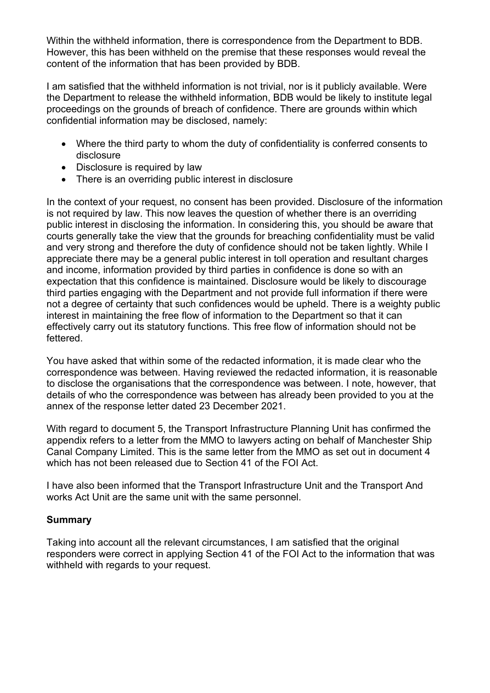Within the withheld information, there is correspondence from the Department to BDB. However, this has been withheld on the premise that these responses would reveal the content of the information that has been provided by BDB.

I am satisfied that the withheld information is not trivial, nor is it publicly available. Were the Department to release the withheld information, BDB would be likely to institute legal proceedings on the grounds of breach of confidence. There are grounds within which confidential information may be disclosed, namely:

- Where the third party to whom the duty of confidentiality is conferred consents to disclosure
- Disclosure is required by law
- There is an overriding public interest in disclosure

In the context of your request, no consent has been provided. Disclosure of the information is not required by law. This now leaves the question of whether there is an overriding public interest in disclosing the information. In considering this, you should be aware that courts generally take the view that the grounds for breaching confidentiality must be valid and very strong and therefore the duty of confidence should not be taken lightly. While I appreciate there may be a general public interest in toll operation and resultant charges and income, information provided by third parties in confidence is done so with an expectation that this confidence is maintained. Disclosure would be likely to discourage third parties engaging with the Department and not provide full information if there were not a degree of certainty that such confidences would be upheld. There is a weighty public interest in maintaining the free flow of information to the Department so that it can effectively carry out its statutory functions. This free flow of information should not be fettered.

You have asked that within some of the redacted information, it is made clear who the correspondence was between. Having reviewed the redacted information, it is reasonable to disclose the organisations that the correspondence was between. I note, however, that details of who the correspondence was between has already been provided to you at the annex of the response letter dated 23 December 2021.

With regard to document 5, the Transport Infrastructure Planning Unit has confirmed the appendix refers to a letter from the MMO to lawyers acting on behalf of Manchester Ship Canal Company Limited. This is the same letter from the MMO as set out in document 4 which has not been released due to Section 41 of the FOI Act.

I have also been informed that the Transport Infrastructure Unit and the Transport And works Act Unit are the same unit with the same personnel.

## **Summary**

Taking into account all the relevant circumstances, I am satisfied that the original responders were correct in applying Section 41 of the FOI Act to the information that was withheld with regards to your request.